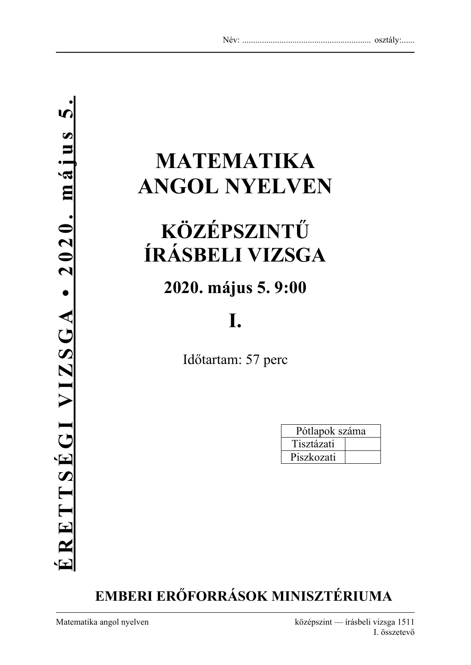# **MATEMATIKA ANGOL NYELVEN**

## **KÖZÉPSZINTŰ ÍRÁSBELI VIZSGA**

### **2020. május 5. 9:00**

## **I.**

Időtartam: 57 perc

| Pótlapok száma |  |  |
|----------------|--|--|
| Tisztázati     |  |  |
| Piszkozati     |  |  |

**EMBERI ERŐFORRÁSOK MINISZTÉRIUMA**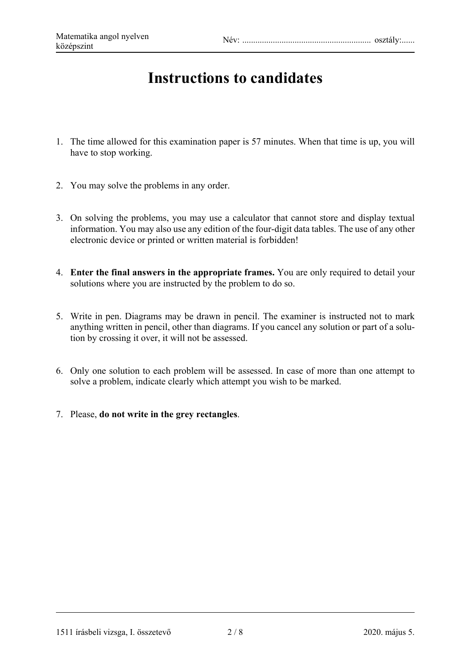### **Instructions to candidates**

- 1. The time allowed for this examination paper is 57 minutes. When that time is up, you will have to stop working.
- 2. You may solve the problems in any order.
- 3. On solving the problems, you may use a calculator that cannot store and display textual information. You may also use any edition of the four-digit data tables. The use of any other electronic device or printed or written material is forbidden!
- 4. **Enter the final answers in the appropriate frames.** You are only required to detail your solutions where you are instructed by the problem to do so.
- 5. Write in pen. Diagrams may be drawn in pencil. The examiner is instructed not to mark anything written in pencil, other than diagrams. If you cancel any solution or part of a solution by crossing it over, it will not be assessed.
- 6. Only one solution to each problem will be assessed. In case of more than one attempt to solve a problem, indicate clearly which attempt you wish to be marked.
- 7. Please, **do not write in the grey rectangles**.

1511 írásbeli vizsga, I. összetevő 2 / 8 2020. május 5.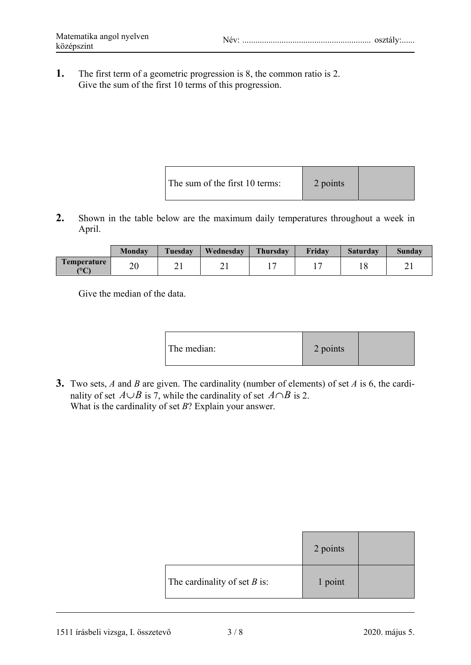**1.** The first term of a geometric progression is 8, the common ratio is 2. Give the sum of the first 10 terms of this progression.

| The sum of the first 10 terms: | 2 points |  |
|--------------------------------|----------|--|
|--------------------------------|----------|--|

**2.** Shown in the table below are the maximum daily temperatures throughout a week in April.

|                           | Monday   | Tuesday  | Wednesday  | <b>Thursday</b> | Fridav | <b>Saturday</b> | Sunday |
|---------------------------|----------|----------|------------|-----------------|--------|-----------------|--------|
| <b>Temperature</b><br>(0) | σr<br>∠∪ | $\sim$ 1 | <u>_ .</u> |                 |        |                 |        |

Give the median of the data.

| The median: | 2 points |  |
|-------------|----------|--|
|-------------|----------|--|

**3.** Two sets, *A* and *B* are given. The cardinality (number of elements) of set *A* is 6, the cardinality of set  $A \cup B$  is 7, while the cardinality of set  $A \cap B$  is 2. What is the cardinality of set *B*? Explain your answer.

|                                | 2 points |  |
|--------------------------------|----------|--|
| The cardinality of set $B$ is: | 1 point  |  |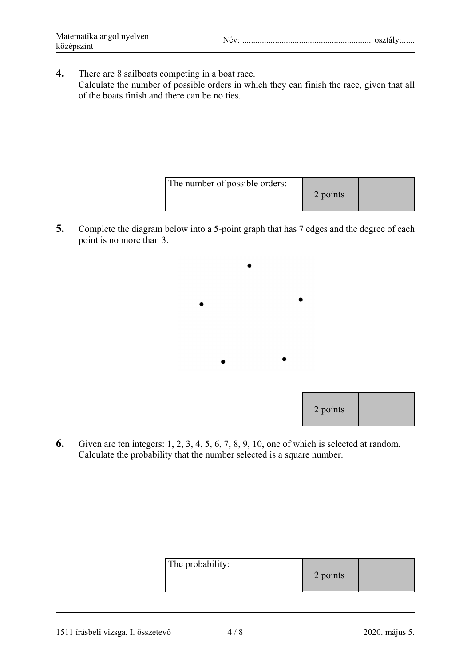**4.** There are 8 sailboats competing in a boat race.

Calculate the number of possible orders in which they can finish the race, given that all of the boats finish and there can be no ties.

| The number of possible orders: | 2 points |  |
|--------------------------------|----------|--|
|--------------------------------|----------|--|

**5.** Complete the diagram below into a 5-point graph that has 7 edges and the degree of each point is no more than 3.



**6.** Given are ten integers: 1, 2, 3, 4, 5, 6, 7, 8, 9, 10, one of which is selected at random. Calculate the probability that the number selected is a square number.

| The probability: | 2 points |  |
|------------------|----------|--|
|------------------|----------|--|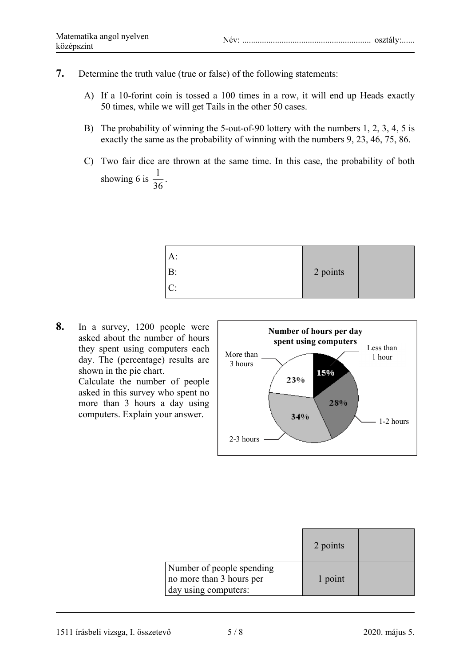- **7.** Determine the truth value (true or false) of the following statements:
	- A) If a 10-forint coin is tossed a 100 times in a row, it will end up Heads exactly 50 times, while we will get Tails in the other 50 cases.
	- B) The probability of winning the 5-out-of-90 lottery with the numbers 1, 2, 3, 4, 5 is exactly the same as the probability of winning with the numbers 9, 23, 46, 75, 86.
	- C) Two fair dice are thrown at the same time. In this case, the probability of both showing 6 is  $\frac{1}{36}$ .



**8.** In a survey, 1200 people were asked about the number of hours they spent using computers each day. The (percentage) results are shown in the pie chart. Calculate the number of people asked in this survey who spent no

more than 3 hours a day using computers. Explain your answer.



|                                                                               | 2 points |  |
|-------------------------------------------------------------------------------|----------|--|
| Number of people spending<br>no more than 3 hours per<br>day using computers: | 1 point  |  |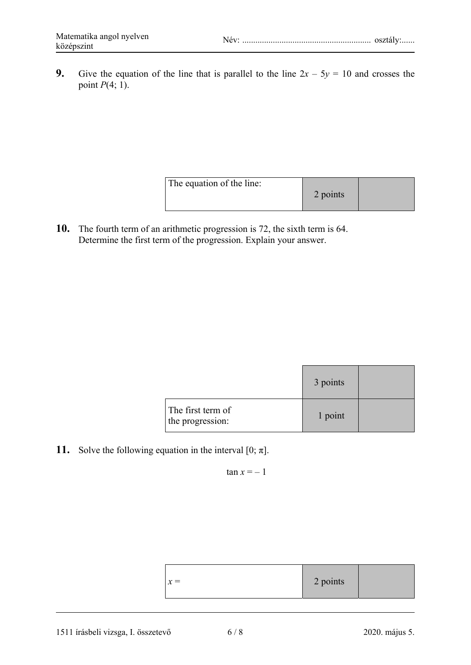**9.** Give the equation of the line that is parallel to the line  $2x - 5y = 10$  and crosses the point *P*(4; 1).

| The equation of the line: | 2 points |  |
|---------------------------|----------|--|
|                           |          |  |

**10.** The fourth term of an arithmetic progression is 72, the sixth term is 64. Determine the first term of the progression. Explain your answer.

|                                       | 3 points |  |
|---------------------------------------|----------|--|
| The first term of<br>the progression: | 1 point  |  |

**11.** Solve the following equation in the interval  $[0; \pi]$ .

 $\tan x = -1$ 

| $\boldsymbol{\lambda}$ | 2 points |  |
|------------------------|----------|--|
|------------------------|----------|--|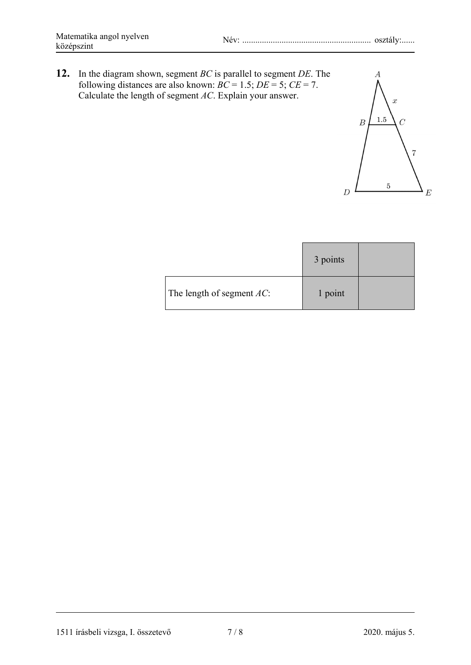**12.** In the diagram shown, segment *BC* is parallel to segment *DE*. The following distances are also known:  $\overline{BC} = 1.5$ ;  $\overline{DE} = 5$ ;  $\overline{CE} = 7$ . Calculate the length of segment *AC*. Explain your answer.



|                              | 3 points |  |
|------------------------------|----------|--|
| The length of segment $AC$ : | 1 point  |  |

<sup>1511</sup> írásbeli vizsga, I. összetevő 7 / 8 2020. május 5.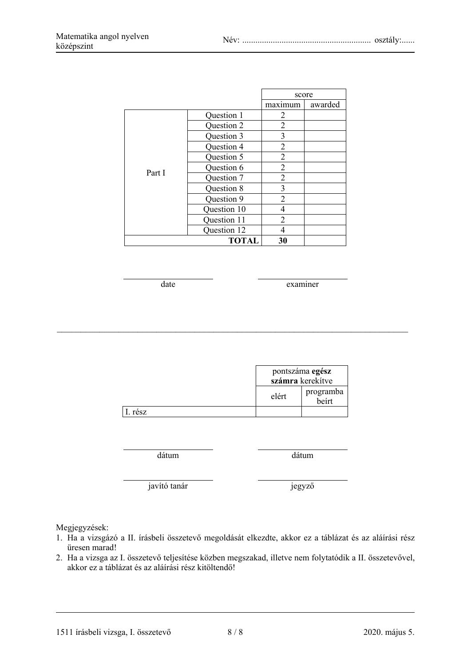|        |              | score          |         |
|--------|--------------|----------------|---------|
|        |              | maximum        | awarded |
|        | Question 1   | 2              |         |
|        | Question 2   | 2              |         |
|        | Question 3   | 3              |         |
|        | Question 4   | $\overline{2}$ |         |
|        | Question 5   | 2              |         |
| Part I | Question 6   | $\overline{2}$ |         |
|        | Question 7   | $\overline{2}$ |         |
|        | Question 8   | 3              |         |
|        | Question 9   | $\overline{2}$ |         |
|        | Question 10  |                |         |
|        | Question 11  | 2              |         |
|        | Question 12  |                |         |
|        | <b>TOTAL</b> | 30             |         |

date examiner



dátum dátum

javító tanár jegyző

Megjegyzések:

- 1. Ha a vizsgázó a II. írásbeli összetevő megoldását elkezdte, akkor ez a táblázat és az aláírási rész üresen marad!
- 2. Ha a vizsga az I. összetevő teljesítése közben megszakad, illetve nem folytatódik a II. összetevővel, akkor ez a táblázat és az aláírási rész kitöltendő!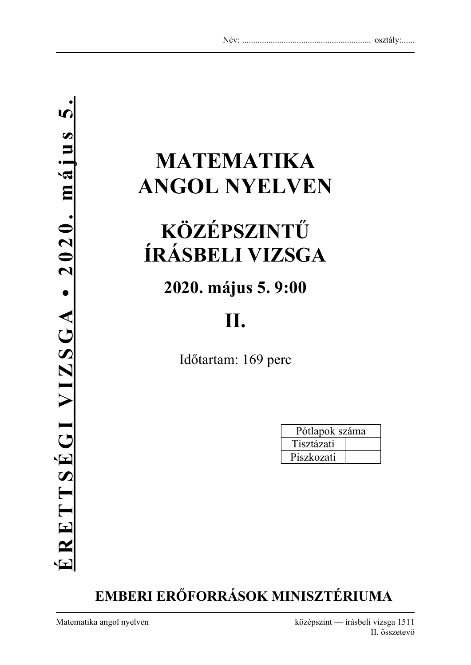# **MATEMATIKA ANGOL NYELVEN**

## **KÖZÉPSZINTŰ ÍRÁSBELI VIZSGA**

### **2020. május 5. 9:00**

### **II.**

Időtartam: 169 perc

| Pótlapok száma |  |  |
|----------------|--|--|
| Tisztázati     |  |  |
| Piszkozati     |  |  |

**EMBERI ERŐFORRÁSOK MINISZTÉRIUMA**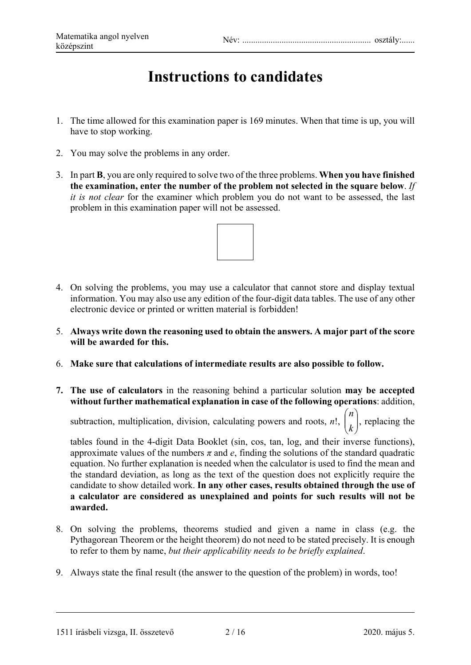#### **Instructions to candidates**

- 1. The time allowed for this examination paper is 169 minutes. When that time is up, you will have to stop working.
- 2. You may solve the problems in any order.
- 3. In part **B**, you are only required to solve two of the three problems. **When you have finished the examination, enter the number of the problem not selected in the square below**. *If it is not clear* for the examiner which problem you do not want to be assessed, the last problem in this examination paper will not be assessed.



- 4. On solving the problems, you may use a calculator that cannot store and display textual information. You may also use any edition of the four-digit data tables. The use of any other electronic device or printed or written material is forbidden!
- 5. **Always write down the reasoning used to obtain the answers. A major part of the score will be awarded for this.**
- 6. **Make sure that calculations of intermediate results are also possible to follow.**
- **7. The use of calculators** in the reasoning behind a particular solution **may be accepted without further mathematical explanation in case of the following operations**: addition,

subtraction, multiplication, division, calculating powers and roots,  $n!$ ,  $\begin{bmatrix} n \\ k \end{bmatrix}$  $\bigg)$  $\setminus$  $\overline{\phantom{a}}$  $\setminus$ ſ *k n* , replacing the

tables found in the 4-digit Data Booklet (sin, cos, tan, log, and their inverse functions), approximate values of the numbers  $\pi$  and  $e$ , finding the solutions of the standard quadratic equation. No further explanation is needed when the calculator is used to find the mean and the standard deviation, as long as the text of the question does not explicitly require the candidate to show detailed work. **In any other cases, results obtained through the use of a calculator are considered as unexplained and points for such results will not be awarded.** 

- 8. On solving the problems, theorems studied and given a name in class (e.g. the Pythagorean Theorem or the height theorem) do not need to be stated precisely. It is enough to refer to them by name, *but their applicability needs to be briefly explained*.
- 9. Always state the final result (the answer to the question of the problem) in words, too!

1511 írásbeli vizsga, II. összetevő 2 / 16 2020. május 5.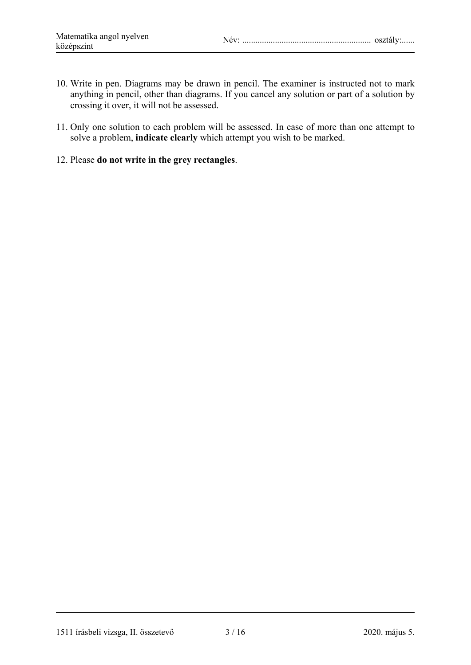- 10. Write in pen. Diagrams may be drawn in pencil. The examiner is instructed not to mark anything in pencil, other than diagrams. If you cancel any solution or part of a solution by crossing it over, it will not be assessed.
- 11. Only one solution to each problem will be assessed. In case of more than one attempt to solve a problem, **indicate clearly** which attempt you wish to be marked.
- 12. Please **do not write in the grey rectangles**.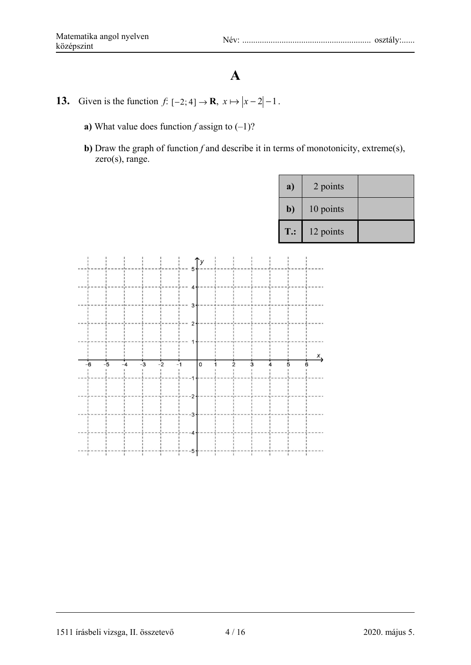#### **A**

- **13.** Given is the function  $f: [-2, 4] \rightarrow \mathbb{R}, x \mapsto |x 2| 1$ .
	- **a**) What value does function  $f$  assign to  $(-1)$ ?
	- **b)** Draw the graph of function *f* and describe it in terms of monotonicity, extreme(s), zero(s), range.

| a)           | 2 points  |  |
|--------------|-----------|--|
| $\mathbf{b}$ | 10 points |  |
| $T$ .:       | 12 points |  |

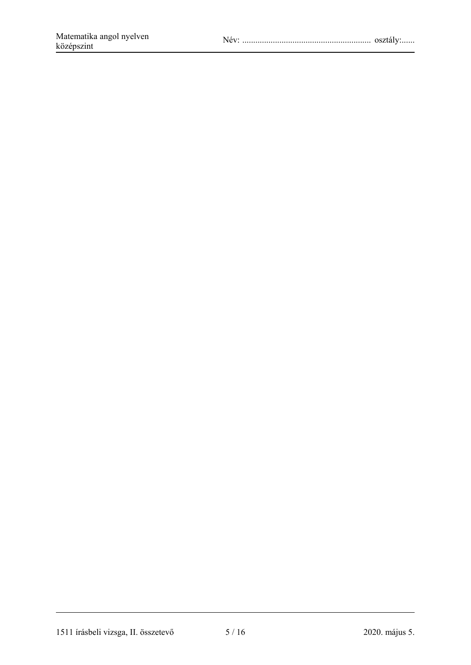1511 írásbeli vizsga, II. összetevő 5 / 16 2020. május 5.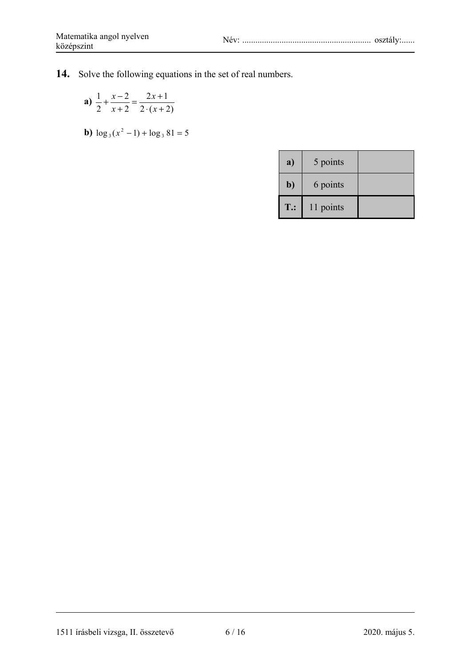**14.** Solve the following equations in the set of real numbers.

a) 
$$
\frac{1}{2} + \frac{x-2}{x+2} = \frac{2x+1}{2 \cdot (x+2)}
$$

**b)** 
$$
\log_3(x^2 - 1) + \log_3 81 = 5
$$

| a)           | 5 points  |  |
|--------------|-----------|--|
| $\mathbf{b}$ | 6 points  |  |
| $T$ .:       | 11 points |  |

<sup>1511</sup> írásbeli vizsga, II. összetevő 6 / 16 2020. május 5.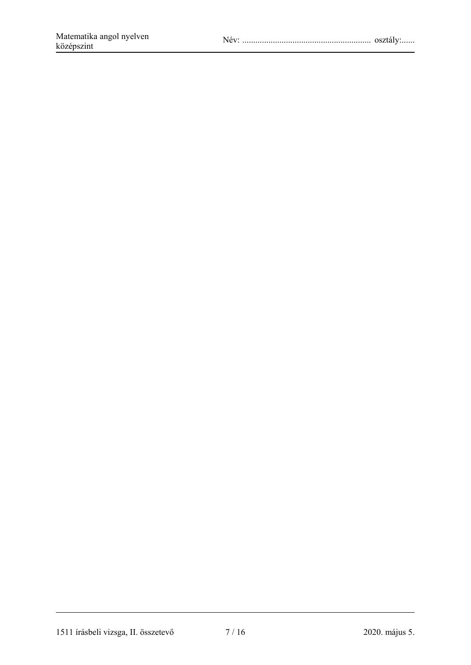1511 írásbeli vizsga, II. összetevő 7 / 16 2020. május 5.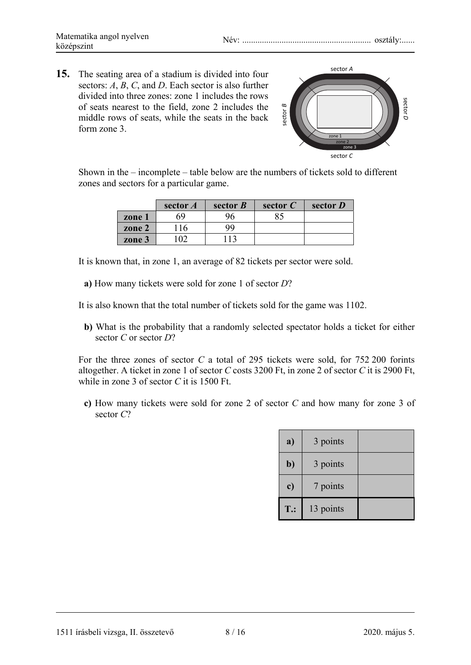**15.** The seating area of a stadium is divided into four sectors: *A*, *B*, *C*, and *D*. Each sector is also further divided into three zones: zone 1 includes the rows of seats nearest to the field, zone 2 includes the middle rows of seats, while the seats in the back form zone 3.



 Shown in the – incomplete – table below are the numbers of tickets sold to different zones and sectors for a particular game.

|        | sector A | sector $B$ | sector $C$ | sector $D$ |
|--------|----------|------------|------------|------------|
| zone 1 | 69       |            |            |            |
| zone 2 | 16       | 99         |            |            |
| zone 3 |          |            |            |            |

It is known that, in zone 1, an average of 82 tickets per sector were sold.

**a)** How many tickets were sold for zone 1 of sector *D*?

It is also known that the total number of tickets sold for the game was 1102.

**b)** What is the probability that a randomly selected spectator holds a ticket for either sector *C* or sector *D*?

For the three zones of sector *C* a total of 295 tickets were sold, for 752 200 forints altogether. A ticket in zone 1 of sector *C* costs 3200 Ft, in zone 2 of sector *C* it is 2900 Ft, while in zone 3 of sector *C* it is 1500 Ft.

**c)** How many tickets were sold for zone 2 of sector *C* and how many for zone 3 of sector *C*?

| a)           | 3 points  |  |
|--------------|-----------|--|
| $\mathbf{b}$ | 3 points  |  |
| c)           | 7 points  |  |
| $T$ .:       | 13 points |  |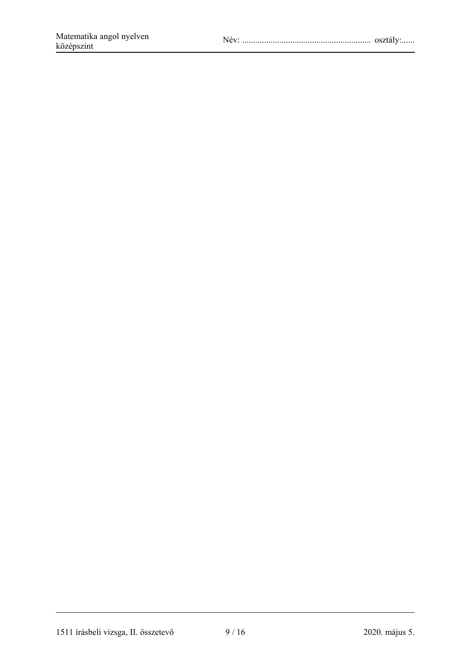1511 írásbeli vizsga, II. összetevő 9 / 16 2020. május 5.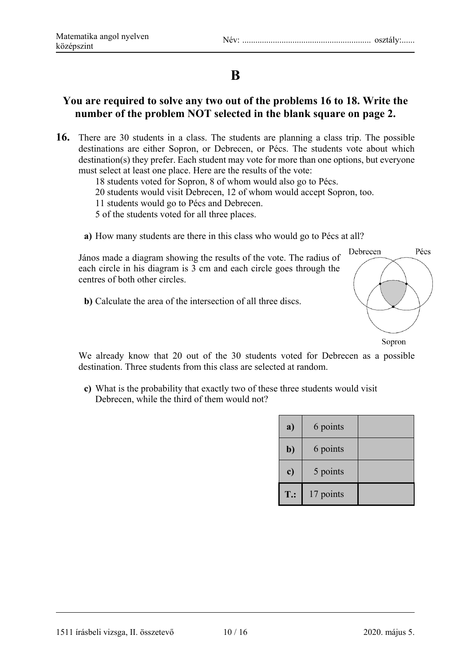#### **B**

#### **You are required to solve any two out of the problems 16 to 18. Write the number of the problem NOT selected in the blank square on page 2.**

**16.** There are 30 students in a class. The students are planning a class trip. The possible destinations are either Sopron, or Debrecen, or Pécs. The students vote about which destination(s) they prefer. Each student may vote for more than one options, but everyone must select at least one place. Here are the results of the vote:

18 students voted for Sopron, 8 of whom would also go to Pécs.

20 students would visit Debrecen, 12 of whom would accept Sopron, too.

11 students would go to Pécs and Debrecen.

5 of the students voted for all three places.

**a)** How many students are there in this class who would go to Pécs at all?

János made a diagram showing the results of the vote. The radius of each circle in his diagram is 3 cm and each circle goes through the centres of both other circles.

**b)** Calculate the area of the intersection of all three discs.



Sopron

We already know that 20 out of the 30 students voted for Debrecen as a possible destination. Three students from this class are selected at random.

**c)** What is the probability that exactly two of these three students would visit Debrecen, while the third of them would not?

| a)           | 6 points  |  |
|--------------|-----------|--|
| $\mathbf{b}$ | 6 points  |  |
| c)           | 5 points  |  |
| $T$ .:       | 17 points |  |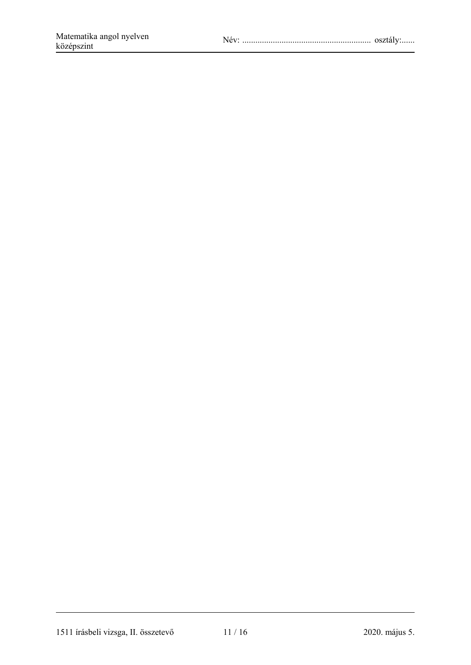1511 írásbeli vizsga, II. összetevő 11 / 16 2020. május 5.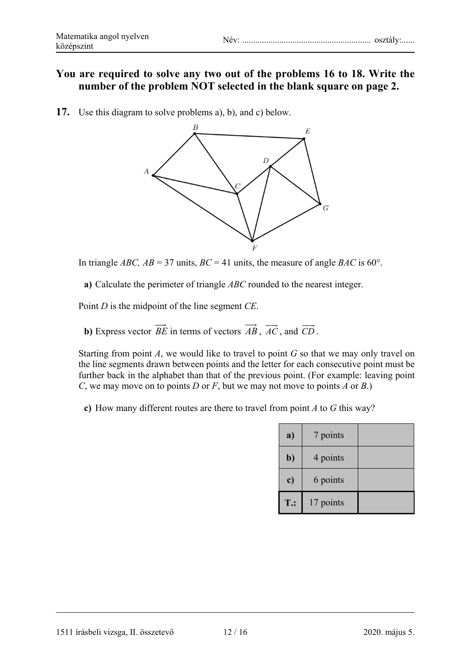#### **You are required to solve any two out of the problems 16 to 18. Write the number of the problem NOT selected in the blank square on page 2.**

**17.** Use this diagram to solve problems a), b), and c) below.



In triangle *ABC, AB* = 37 units,  $BC = 41$  units, the measure of angle *BAC* is 60°.

**a)** Calculate the perimeter of triangle *ABC* rounded to the nearest integer.

Point *D* is the midpoint of the line segment *CE*.

**b**) Express vector  $\overrightarrow{BE}$  in terms of vectors  $\overrightarrow{AB}$ ,  $\overrightarrow{AC}$ , and  $\overrightarrow{CD}$ .

Starting from point *A*, we would like to travel to point *G* so that we may only travel on the line segments drawn between points and the letter for each consecutive point must be further back in the alphabet than that of the previous point. (For example: leaving point *C*, we may move on to points *D* or *F*, but we may not move to points *A* or *B*.)

**c)** How many different routes are there to travel from point *A* to *G* this way?

| a)            | 7 points  |  |
|---------------|-----------|--|
| b)            | 4 points  |  |
| $\mathbf{c})$ | 6 points  |  |
| <b>T.:</b>    | 17 points |  |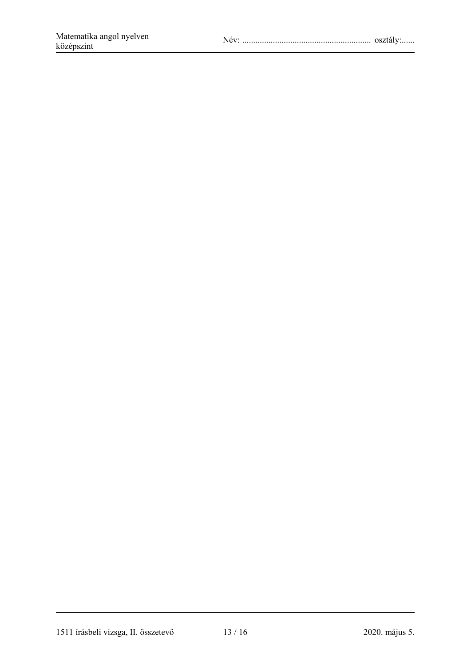1511 írásbeli vizsga, II. összetevő 13 / 16 2020. május 5.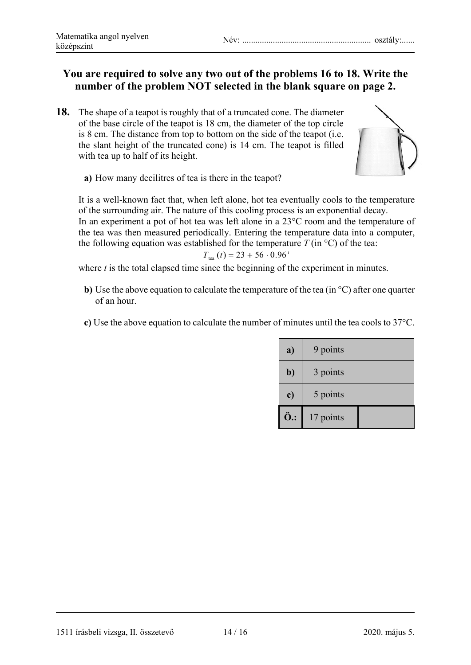#### **You are required to solve any two out of the problems 16 to 18. Write the number of the problem NOT selected in the blank square on page 2.**

**18.** The shape of a teapot is roughly that of a truncated cone. The diameter of the base circle of the teapot is 18 cm, the diameter of the top circle is 8 cm. The distance from top to bottom on the side of the teapot (i.e. the slant height of the truncated cone) is 14 cm. The teapot is filled with tea up to half of its height.



**a)** How many decilitres of tea is there in the teapot?

It is a well-known fact that, when left alone, hot tea eventually cools to the temperature of the surrounding air. The nature of this cooling process is an exponential decay. In an experiment a pot of hot tea was left alone in a 23°C room and the temperature of the tea was then measured periodically. Entering the temperature data into a computer,

the following equation was established for the temperature  $T$  (in  $\degree$ C) of the tea:

$$
T_{\text{tea}}(t) = 23 + 56 \cdot 0.96^t
$$

where *t* is the total elapsed time since the beginning of the experiment in minutes.

- **b**) Use the above equation to calculate the temperature of the tea (in <sup>o</sup>C) after one quarter of an hour.
- **c)** Use the above equation to calculate the number of minutes until the tea cools to 37°C.

| a)                     | 9 points  |  |
|------------------------|-----------|--|
| $\mathbf{b}$           | 3 points  |  |
| $\mathbf{c})$          | 5 points  |  |
| $\ddot{\mathbf{O}}$ .: | 17 points |  |